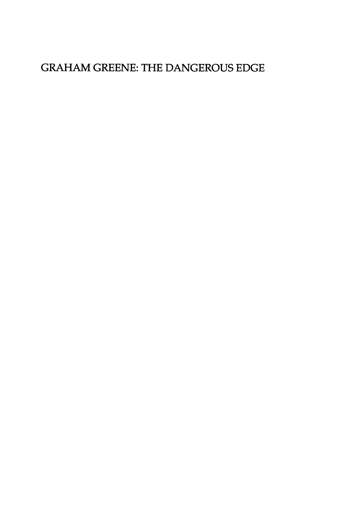### GRAHAM GREENE: THE DANGEROUS EDGE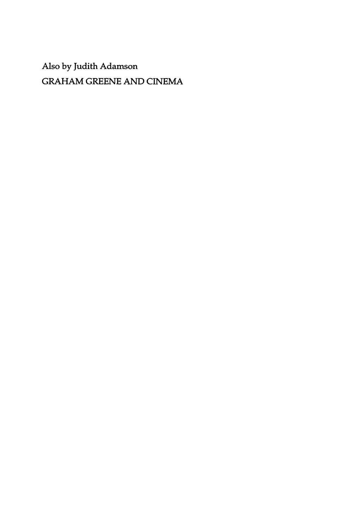Also by Judith Adamson GRAHAM GREENE AND CINEMA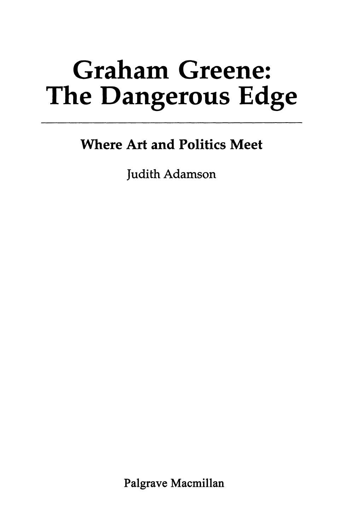# Graham Greene: The Dangerous Edge

## Where Art and Politics Meet

Judith Adamson

Palgrave Macmillan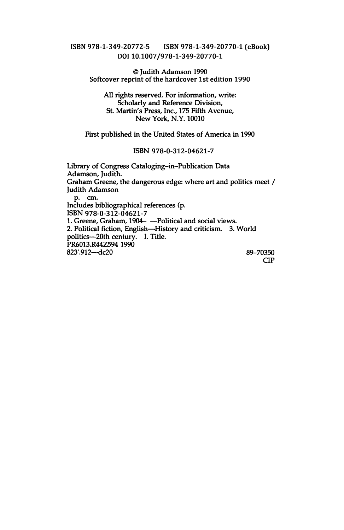#### ISBN 978-1-349-20772-5 ISBN 978-1-349-20770-1 (eBook) DOI 10.1007/978-1-349-20770-1

©Judith Adamson 1990 Softcover reprint of the hardcover 1st edition 1990

All rights reserved. For information, write: Scholarly and Reference Division, St. Martin's Press, Inc., 175 Fifth Avenue, New York, N.Y. 10010

First published in the United States of America in 1990

#### ISBN 978-0-312-04621-7

Library of Congress Cataloging-in-Publication Data Adamson, Judith. Graham Greene, the dangerous edge: where art and politics meet *I*  Judith Adamson p. em. Includes bibliographical references (p. 1. Greene, Graham, 1904- - Political and social views. 2. Political fiction, English-History and criticism. 3. World politics-20th century. I. Title. PR6013.R44Z594 1990 823'.912--dc20 89-70350 CIP ISBN 978-0-312-04621-7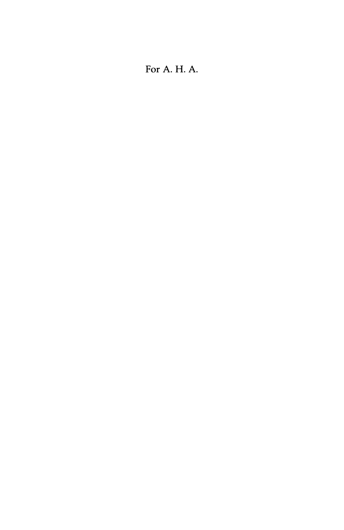#### For A. H. A.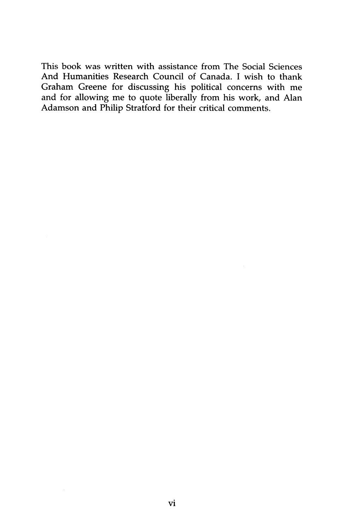This book was written with assistance from The Social Sciences And Humanities Research Council of Canada. I wish to thank Graham Greene for discussing his political concerns with me and for allowing me to quote liberally from his work, and Alan Adamson and Philip Stratford for their critical comments.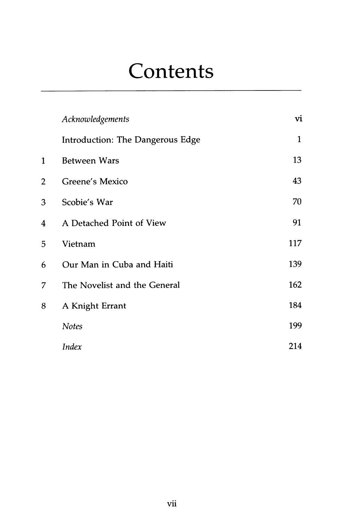## **Contents**

|   | Acknowledgements                 | vi  |
|---|----------------------------------|-----|
|   | Introduction: The Dangerous Edge | 1   |
| 1 | <b>Between Wars</b>              | 13  |
| 2 | Greene's Mexico                  | 43  |
| 3 | Scobie's War                     | 70  |
| 4 | A Detached Point of View         | 91  |
| 5 | Vietnam                          | 117 |
| 6 | Our Man in Cuba and Haiti        | 139 |
| 7 | The Novelist and the General     | 162 |
| 8 | A Knight Errant                  | 184 |
|   | <b>Notes</b>                     | 199 |
|   | <b>Index</b>                     | 214 |